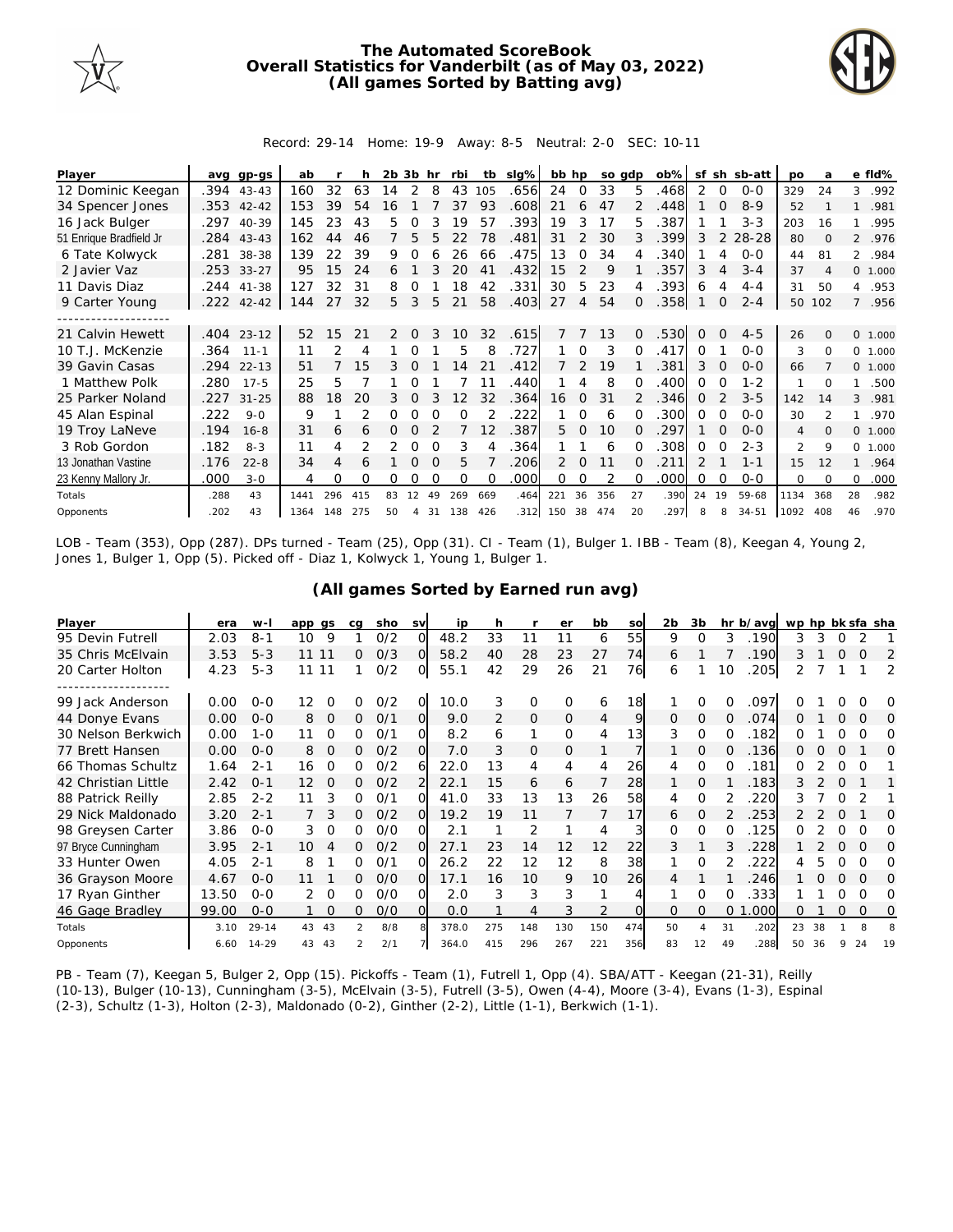

## **The Automated ScoreBook Overall Statistics for Vanderbilt (as of May 03, 2022) (All games Sorted by Batting avg)**



Record: 29-14 Home: 19-9 Away: 8-5 Neutral: 2-0 SEC: 10-11

| Player                  | ava  | gp-gs        | ab   |                 | h   | 2b. | 3b             | hr       | rbi | tb       | slg% | bb hp         |               | so adp |               | $ob\%$ |               |          | sf sh sb-att | <b>DO</b>      | a              |                | e fld%   |
|-------------------------|------|--------------|------|-----------------|-----|-----|----------------|----------|-----|----------|------|---------------|---------------|--------|---------------|--------|---------------|----------|--------------|----------------|----------------|----------------|----------|
| 12 Dominic Keegan       | .394 | $43 - 43$    | 160  | 32              | 63  | 14  | 2              | 8        | 43  | 105      | .656 | 24            | $\Omega$      | 33     | 5             | .468   | 2             | 0        | $0 - 0$      | 329            | 24             | 3              | .992     |
| 34 Spencer Jones        |      | $.353$ 42-42 | 153  | 39              | 54  | 16  |                |          | 37  | 93       | .608 | 21            | 6             | 47     | $\mathcal{P}$ | .448   |               | $\Omega$ | $8-9$        | 52             |                | $\mathbf{1}$   | .981     |
| 16 Jack Bulger          | .297 | $40 - 39$    | 145  | 23              | 43  | 5.  |                |          | 19  | 57       | .393 | 19            | 3             | 17     | 5             | 387    |               |          | $3 - 3$      | 203            | 16             |                | .995     |
| 51 Enrique Bradfield Jr | .284 | $43 - 43$    | 162  | 44              | 46  |     | 5              | 5        | 22  | 78       | .481 | 31            | 2             | 30     | 3             | .399   | 3             | 2        | 28-28        | 80             | $\Omega$       | $\overline{2}$ | .976     |
| 6 Tate Kolwyck          | .281 | 38-38        | 139  | 22              | 39  | 9   |                |          | 26  | 66       | .475 | 13            | 0             | 34     |               | .340   |               | 4        | $O - O$      | 44             | 81             |                | 2 .984   |
| 2 Javier Vaz            | .253 | $33 - 27$    | 95   | 15              | 24  | 6   |                |          | 20  | 41       | .432 | 15            | 2             | 9      |               | .357   | 3             | 4        | $3 - 4$      | 37             | $\overline{A}$ |                | 0, 1,000 |
| 11 Davis Diaz           | .244 | $41 - 38$    | 127  | 32              | 31  | 8   | 0              |          | 18  | 42       | .331 | 30            | 5             | 23     | 4             | .393   | 6             | 4        | $4 - 4$      | 31             | 50             | 4              | .953     |
| 9 Carter Young          |      | $.222$ 42-42 | 144  | 27              | 32  | 5   | 3              | 5        | 21  | 58       | .403 | 27            | 4             | 54     | $\Omega$      | .358   |               | 0        | $2 - 4$      | 50             | 102            |                | 7 .956   |
|                         |      |              |      |                 |     |     |                |          |     |          |      |               |               |        |               |        |               |          |              |                |                |                |          |
| 21 Calvin Hewett        | .404 | $23 - 12$    | 52   | 15 <sup>°</sup> | 21  | 2   | $\Omega$       | 3        | 10  | 32       | .615 | $\mathcal{I}$ |               | 13     | $\Omega$      | .530   | $\Omega$      | $\Omega$ | $4 - 5$      | 26             | $\Omega$       |                | 0 1.000  |
| 10 T.J. McKenzie        | .364 | $11 - 1$     | 11   |                 | 4   |     |                |          | 5   | 8        | .727 |               | $\Omega$      | 3      | $\Omega$      | .417   | 0             |          | $O-O$        | 3              | 0              | $\Omega$       | 1.000    |
| 39 Gavin Casas          | .294 | $22 - 13$    | 51   |                 | 15  | 3.  |                |          | 14  | 21       | .412 |               | $\mathcal{P}$ | 19     |               | 381    | 3             | $\Omega$ | $O - O$      | 66             |                |                | 0 1.000  |
| 1 Matthew Polk          | .280 | $17 - 5$     | 25   | 5               |     |     |                |          |     | 11       | .440 |               |               | 8      | O             | .400   | 0             | ∩        | $1 - 2$      | 1              | 0              | 1              | .500     |
| 25 Parker Noland        | .227 | $31 - 25$    | 88   | 18              | 20  | 3.  | $\Omega$       |          | 12  | 32       | .364 | 16            | $\Omega$      | 31     |               | .346   | 0             |          | $3 - 5$      | 142            | 14             | 3              | .981     |
| 45 Alan Espinal         | .222 | $9 - 0$      | 9    |                 | 2   | 0   |                | $\Omega$ | O   |          | .222 |               | $\Omega$      | 6      | $\Omega$      | .300   | $\Omega$      | $\Omega$ | $O-O$        | 30             | $\mathcal{P}$  | 1              | .970     |
| 19 Troy LaNeve          | .194 | $16 - 8$     | 31   | 6               | 6   | 0   | 0              |          |     | 12       | .387 | 5.            | $\Omega$      | 10     | $\Omega$      | 297    |               | $\Omega$ | $O - O$      | $\overline{4}$ | $\Omega$       |                | 0 1.000  |
| 3 Rob Gordon            | .182 | $8 - 3$      | 11   | 4               |     | 2   | $\Omega$       | $\Omega$ | 3   |          | .364 |               |               | 6      |               | 308    | 0             | $\Omega$ | $2 - 3$      | 2              | 9              | 0              | 1.000    |
| 13 Jonathan Vastine     | .176 | $22 - 8$     | 34   | 4               | 6   |     | 0              | $\Omega$ | 5   |          | .206 | 2             | $\Omega$      | 11     | O.            | .211   | $\mathcal{P}$ |          | $1 - 1$      | 15             | 12             | 1              | .964     |
| 23 Kenny Mallory Jr.    | .000 | $3 - 0$      | 4    | Ω               | O   | 0   |                |          | O   | $\Omega$ | .000 | Ω             | 0             |        | O             | .000   | 0             | $\Omega$ | $0 - 0$      | 0              | <sup>0</sup>   | 0              | .000     |
| Totals                  | .288 | 43           | 1441 | 296             | 415 | 83  | 12             | 49       | 269 | 669      | .464 | 221           | 36            | 356    | 27            | .390   | 24            | 19       | 59-68        | 1134           | 368            | 28             | .982     |
| Opponents               | .202 | 43           | 1364 | 148             | 275 | 50  | $\overline{4}$ | 31       | 138 | 426      | .312 | 150           | 38            | 474    | 20            | .297   | 8             | 8        | $34 - 51$    | 1092           | 408            | 46             | .970     |

LOB - Team (353), Opp (287). DPs turned - Team (25), Opp (31). CI - Team (1), Bulger 1. IBB - Team (8), Keegan 4, Young 2, Jones 1, Bulger 1, Opp (5). Picked off - Diaz 1, Kolwyck 1, Young 1, Bulger 1.

|  |  | (All games Sorted by Earned run avg) |  |  |
|--|--|--------------------------------------|--|--|
|  |  |                                      |  |  |

| Player              | era   | W-        | app qs |          | ca            | sho | <b>SV</b> | ip    | h              |              | er       | bb  | so       | 2b       | 3b       |          | hr b/avg | wp hp bk sfa sha |    |          |          |          |
|---------------------|-------|-----------|--------|----------|---------------|-----|-----------|-------|----------------|--------------|----------|-----|----------|----------|----------|----------|----------|------------------|----|----------|----------|----------|
| 95 Devin Futrell    | 2.03  | $8 - 1$   | 10     | 9        |               | O/2 | $\Omega$  | 48.2  | 33             | 11           |          | 6   | 55       | 9        | O        | 3        | .190     | 3                | 3  |          |          |          |
| 35 Chris McElvain   | 3.53  | $5 - 3$   | 11 11  |          | 0             | O/3 | $\Omega$  | 58.2  | 40             | 28           | 23       | 27  | 74       | 6        |          |          | .190     | 3                |    | $\Omega$ | $\Omega$ | 2        |
| 20 Carter Holton    | 4.23  | $5 - 3$   | 11 11  |          |               | 0/2 | O.        | 55.1  | 42             | 29           | 26       | 21  | 76       | 6        |          | 10       | .205     |                  |    |          |          | 2        |
|                     |       |           |        |          |               |     |           |       |                |              |          |     |          |          |          |          |          |                  |    |          |          |          |
| 99 Jack Anderson    | 0.00  | $O - O$   | 12     | O        | O             | 0/2 | 0         | 10.0  | 3              | 0            | $\Omega$ | 6   | 18       |          | 0        | 0        | .097     |                  |    |          |          | O        |
| 44 Donye Evans      | 0.00  | $0 - 0$   | 8      | $\Omega$ | 0             | 0/1 | O.        | 9.0   | $\overline{2}$ | $\mathbf{O}$ | $\Omega$ | 4   | 9        | $\Omega$ | $\Omega$ | $\Omega$ | .074     |                  |    |          | O        | $\Omega$ |
| 30 Nelson Berkwich  | 0.00  | $1 - 0$   | 11     | 0        | 0             | 0/1 | 0         | 8.2   | 6              | 1            | $\Omega$ | 4   | 13       | 3        | $\circ$  | O        | .182     | 0                |    | O        | $\Omega$ | Ω        |
| 77 Brett Hansen     | 0.00  | $0 - 0$   | 8      | $\Omega$ | 0             | 0/2 | O.        | 7.0   | 3              | 0            | $\Omega$ | 1   |          |          | 0        | $\Omega$ | 136      | 0                |    | $\Omega$ |          | O        |
| 66 Thomas Schultz   | 1.64  | $2 - 1$   | 16     | 0        | 0             | 0/2 | 6         | 22.0  | 13             | 4            | 4        | 4   | 26       | 4        | 0        | 0        | .181     | 0                |    | 0        | O        |          |
| 42 Christian Little | 2.42  | $O - 1$   | 12     | $\Omega$ | 0             | 0/2 |           | 22.1  | 15             | 6            | 6        |     | 28       |          | 0        |          | .183     |                  |    | $\Omega$ |          |          |
| 88 Patrick Reilly   | 2.85  | $2 - 2$   | 11     | 3        | O             | 0/1 | വ         | 41.0  | 33             | 13           | 13       | 26  | 58       | 4        | $\Omega$ |          | 220      |                  |    |          |          |          |
| 29 Nick Maldonado   | 3.20  | $2 - 1$   |        | 3        | 0             | 0/2 | $\Omega$  | 19.2  | 19             | 11           |          |     | 17       | 6        | $\Omega$ |          | 253      |                  |    | $\Omega$ |          | $\Omega$ |
| 98 Greysen Carter   | 3.86  | $0 - 0$   | 3      | $\Omega$ | 0             | O/O | വ         | 2.1   |                | 2            |          | 4   | 3        | $\Omega$ | $\Omega$ | 0        | 125      | 0                |    | Ω        | Ω        | Ω        |
| 97 Bryce Cunningham | 3.95  | $2 - 1$   | 10     | 4        | 0             | 0/2 | ΩI        | 27.1  | 23             | 14           | 12       | 12  | 22       | 3        |          |          | 228      |                  |    | Ω        | O        | 0        |
| 33 Hunter Owen      | 4.05  | $2 - 1$   | 8      |          | O             | O/1 | ∩         | 26.2  | 22             | 12           | 12       | 8   | 38       |          | $\Omega$ |          | 222      |                  | h. |          | ∩        | O        |
| 36 Grayson Moore    | 4.67  | $0 - 0$   | 11     |          | 0             | O/O | $\Omega$  | 17.1  | 16             | 10           | 9        | 10  | 26       | 4        |          |          | 246      |                  |    |          | $\Omega$ | O        |
| 17 Ryan Ginther     | 13.50 | $0 - 0$   | 2      | $\Omega$ | ∩             | O/O | 0         | 2.0   | 3              | 3            | 3        |     |          |          | $\Omega$ | O        | 333      |                  |    |          | $\Omega$ | Ω        |
| 46 Gage Bradley     | 99.00 | $0 - 0$   |        | $\Omega$ | 0             | O/O | O.        | 0.0   |                | 4            | 3        | 2   | $\Omega$ | $\Omega$ | $\Omega$ | $\Omega$ | 000      | 0                |    | $\Omega$ | $\Omega$ | 0        |
| Totals              | 3.10  | $29 - 14$ | 43     | 43       | $\mathcal{P}$ | 8/8 | 8         | 378.0 | 275            | 148          | 130      | 150 | 474      | 50       |          | 31       | .202     | 23               | 38 |          | 8        |          |
| Opponents           | 6.60  | $14 - 29$ | 43     | 43       |               | 2/1 |           | 364.0 | 415            | 296          | 267      | 221 | 356      | 83       | 12       | 49       | 288      | 50               | 36 | Q        | 24       | 19       |

PB - Team (7), Keegan 5, Bulger 2, Opp (15). Pickoffs - Team (1), Futrell 1, Opp (4). SBA/ATT - Keegan (21-31), Reilly (10-13), Bulger (10-13), Cunningham (3-5), McElvain (3-5), Futrell (3-5), Owen (4-4), Moore (3-4), Evans (1-3), Espinal (2-3), Schultz (1-3), Holton (2-3), Maldonado (0-2), Ginther (2-2), Little (1-1), Berkwich (1-1).